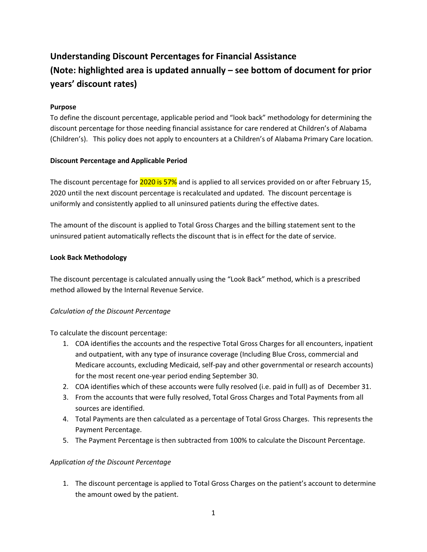# **Understanding Discount Percentages for Financial Assistance (Note: highlighted area is updated annually – see bottom of document for prior years' discount rates)**

## **Purpose**

To define the discount percentage, applicable period and "look back" methodology for determining the discount percentage for those needing financial assistance for care rendered at Children's of Alabama (Children's). This policy does not apply to encounters at a Children's of Alabama Primary Care location.

## **Discount Percentage and Applicable Period**

The discount percentage for 2020 is 57% and is applied to all services provided on or after February 15, 2020 until the next discount percentage is recalculated and updated. The discount percentage is uniformly and consistently applied to all uninsured patients during the effective dates.

The amount of the discount is applied to Total Gross Charges and the billing statement sent to the uninsured patient automatically reflects the discount that is in effect for the date of service.

## **Look Back Methodology**

The discount percentage is calculated annually using the "Look Back" method, which is a prescribed method allowed by the Internal Revenue Service.

# *Calculation of the Discount Percentage*

To calculate the discount percentage:

- 1. COA identifies the accounts and the respective Total Gross Charges for all encounters, inpatient and outpatient, with any type of insurance coverage (Including Blue Cross, commercial and Medicare accounts, excluding Medicaid, self-pay and other governmental or research accounts) for the most recent one-year period ending September 30.
- 2. COA identifies which of these accounts were fully resolved (i.e. paid in full) as of December 31.
- 3. From the accounts that were fully resolved, Total Gross Charges and Total Payments from all sources are identified.
- 4. Total Payments are then calculated as a percentage of Total Gross Charges. This represents the Payment Percentage.
- 5. The Payment Percentage is then subtracted from 100% to calculate the Discount Percentage.

# *Application of the Discount Percentage*

1. The discount percentage is applied to Total Gross Charges on the patient's account to determine the amount owed by the patient.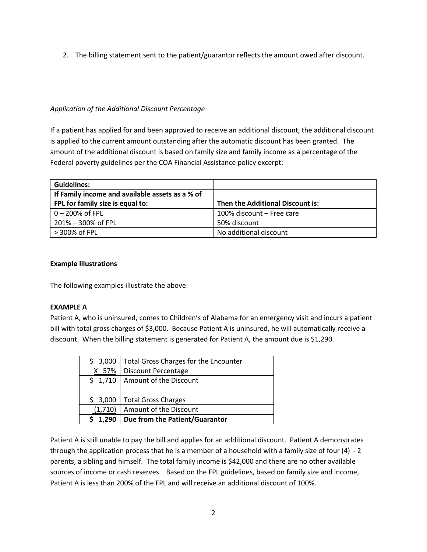2. The billing statement sent to the patient/guarantor reflects the amount owed after discount.

## *Application of the Additional Discount Percentage*

If a patient has applied for and been approved to receive an additional discount, the additional discount is applied to the current amount outstanding after the automatic discount has been granted. The amount of the additional discount is based on family size and family income as a percentage of the Federal poverty guidelines per the COA Financial Assistance policy excerpt:

| <b>Guidelines:</b>                              |                                  |
|-------------------------------------------------|----------------------------------|
| If Family income and available assets as a % of |                                  |
| FPL for family size is equal to:                | Then the Additional Discount is: |
| 0 - 200% of FPL                                 | 100% discount - Free care        |
| 201% – 300% of FPL                              | 50% discount                     |
| > 300% of FPL                                   | No additional discount           |

#### **Example Illustrations**

The following examples illustrate the above:

#### **EXAMPLE A**

Patient A, who is uninsured, comes to Children's of Alabama for an emergency visit and incurs a patient bill with total gross charges of \$3,000. Because Patient A is uninsured, he will automatically receive a discount. When the billing statement is generated for Patient A, the amount due is \$1,290.

| 3,000<br>S. | <b>Total Gross Charges for the Encounter</b> |
|-------------|----------------------------------------------|
| 57%         | Discount Percentage                          |
| \$1,710     | Amount of the Discount                       |
|             |                                              |
| 3,000       | <b>Total Gross Charges</b>                   |
| (1,710)     | Amount of the Discount                       |
| 1,290       | Due from the Patient/Guarantor               |

Patient A is still unable to pay the bill and applies for an additional discount. Patient A demonstrates through the application process that he is a member of a household with a family size of four (4) - 2 parents, a sibling and himself. The total family income is \$42,000 and there are no other available sources of income or cash reserves. Based on the FPL guidelines, based on family size and income, Patient A is less than 200% of the FPL and will receive an additional discount of 100%.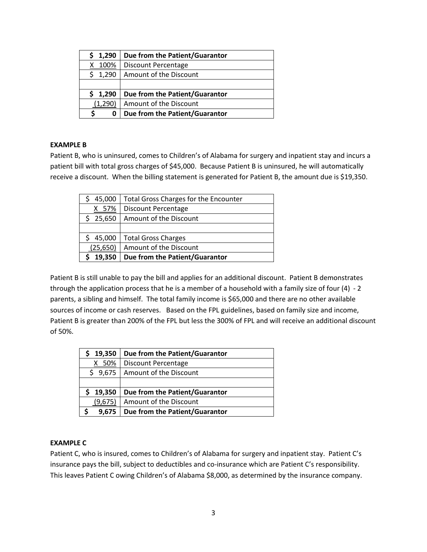| \$1,290 | Due from the Patient/Guarantor |
|---------|--------------------------------|
| 100%    | Discount Percentage            |
| 1,290   | Amount of the Discount         |
|         |                                |
| 1,290   | Due from the Patient/Guarantor |
| (1,290) | Amount of the Discount         |
| O       | Due from the Patient/Guarantor |

#### **EXAMPLE B**

Patient B, who is uninsured, comes to Children's of Alabama for surgery and inpatient stay and incurs a patient bill with total gross charges of \$45,000. Because Patient B is uninsured, he will automatically receive a discount. When the billing statement is generated for Patient B, the amount due is \$19,350.

| 45,000    | <b>Total Gross Charges for the Encounter</b> |
|-----------|----------------------------------------------|
| 57%<br>x  | Discount Percentage                          |
| \$25,650  | Amount of the Discount                       |
|           |                                              |
| 45,000    | <b>Total Gross Charges</b>                   |
| (25, 650) | Amount of the Discount                       |
| 19,350    | Due from the Patient/Guarantor               |

Patient B is still unable to pay the bill and applies for an additional discount. Patient B demonstrates through the application process that he is a member of a household with a family size of four (4) - 2 parents, a sibling and himself. The total family income is \$65,000 and there are no other available sources of income or cash reserves. Based on the FPL guidelines, based on family size and income, Patient B is greater than 200% of the FPL but less the 300% of FPL and will receive an additional discount of 50%.

| 19,350    | Due from the Patient/Guarantor |
|-----------|--------------------------------|
| 50%<br>X. | Discount Percentage            |
| \$9,675   | Amount of the Discount         |
|           |                                |
| 19,350    | Due from the Patient/Guarantor |
| (9,675)   | Amount of the Discount         |
| 9,675     | Due from the Patient/Guarantor |

#### **EXAMPLE C**

Patient C, who is insured, comes to Children's of Alabama for surgery and inpatient stay. Patient C's insurance pays the bill, subject to deductibles and co-insurance which are Patient C's responsibility. This leaves Patient C owing Children's of Alabama \$8,000, as determined by the insurance company.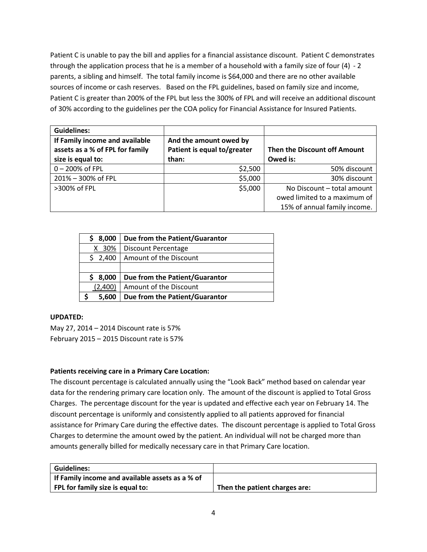Patient C is unable to pay the bill and applies for a financial assistance discount. Patient C demonstrates through the application process that he is a member of a household with a family size of four (4) - 2 parents, a sibling and himself. The total family income is \$64,000 and there are no other available sources of income or cash reserves. Based on the FPL guidelines, based on family size and income, Patient C is greater than 200% of the FPL but less the 300% of FPL and will receive an additional discount of 30% according to the guidelines per the COA policy for Financial Assistance for Insured Patients.

| <b>Guidelines:</b>                                                |                                                       |                              |
|-------------------------------------------------------------------|-------------------------------------------------------|------------------------------|
| If Family income and available<br>assets as a % of FPL for family | And the amount owed by<br>Patient is equal to/greater | Then the Discount off Amount |
| size is equal to:                                                 | than:                                                 | Owed is:                     |
| 0-200% of FPL                                                     | \$2,500                                               | 50% discount                 |
| 201% - 300% of FPL                                                | \$5,000                                               | 30% discount                 |
| >300% of FPL                                                      | \$5,000                                               | No Discount - total amount   |
|                                                                   |                                                       | owed limited to a maximum of |
|                                                                   |                                                       | 15% of annual family income. |

| 8,000    | Due from the Patient/Guarantor |
|----------|--------------------------------|
| 30%<br>X | Discount Percentage            |
| \$2,400  | Amount of the Discount         |
|          |                                |
| 8,000    | Due from the Patient/Guarantor |
| (2,400)  | Amount of the Discount         |
| 5,600    | Due from the Patient/Guarantor |

#### **UPDATED:**

May 27, 2014 – 2014 Discount rate is 57% February 2015 – 2015 Discount rate is 57%

# **Patients receiving care in a Primary Care Location:**

The discount percentage is calculated annually using the "Look Back" method based on calendar year data for the rendering primary care location only. The amount of the discount is applied to Total Gross Charges. The percentage discount for the year is updated and effective each year on February 14. The discount percentage is uniformly and consistently applied to all patients approved for financial assistance for Primary Care during the effective dates. The discount percentage is applied to Total Gross Charges to determine the amount owed by the patient. An individual will not be charged more than amounts generally billed for medically necessary care in that Primary Care location.

| Guidelines:                                     |                               |
|-------------------------------------------------|-------------------------------|
| If Family income and available assets as a % of |                               |
| FPL for family size is equal to:                | Then the patient charges are: |